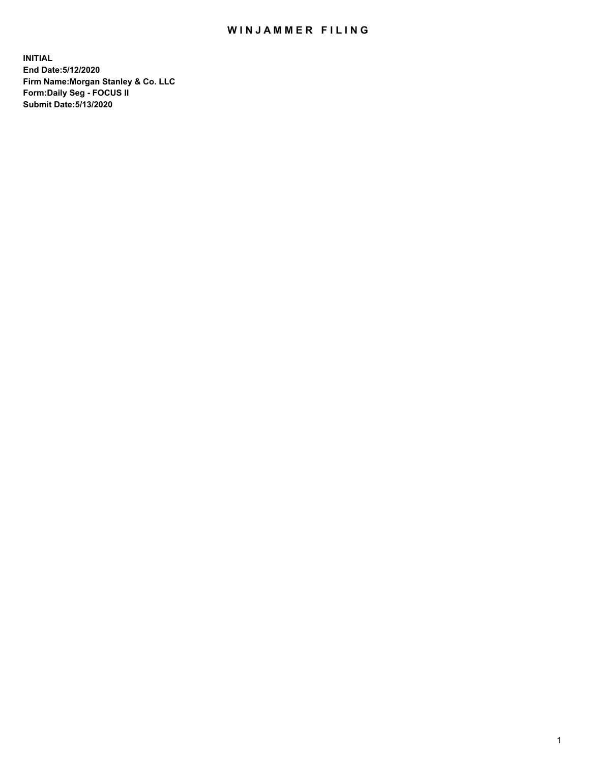## WIN JAMMER FILING

**INITIAL End Date:5/12/2020 Firm Name:Morgan Stanley & Co. LLC Form:Daily Seg - FOCUS II Submit Date:5/13/2020**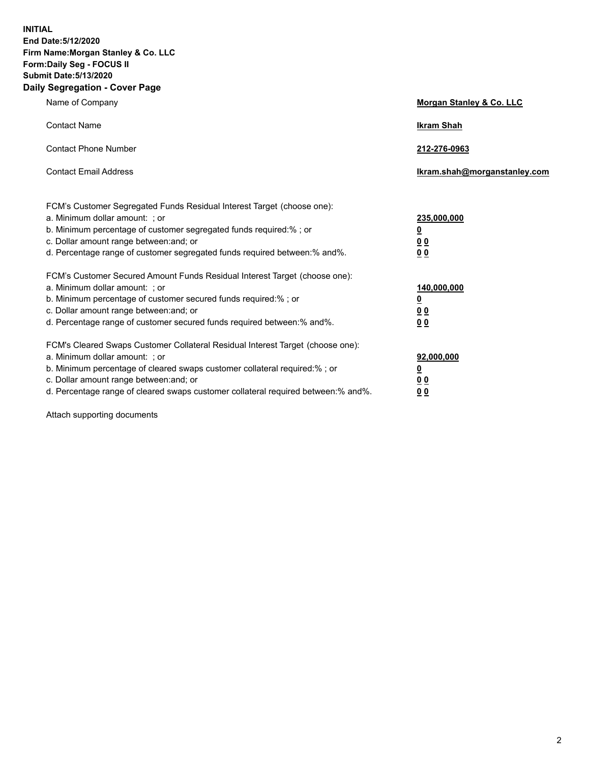**INITIAL End Date:5/12/2020 Firm Name:Morgan Stanley & Co. LLC Form:Daily Seg - FOCUS II Submit Date:5/13/2020 Daily Segregation - Cover Page**

| Name of Company                                                                                                                                                                                                                                                                                                               | Morgan Stanley & Co. LLC                               |
|-------------------------------------------------------------------------------------------------------------------------------------------------------------------------------------------------------------------------------------------------------------------------------------------------------------------------------|--------------------------------------------------------|
| <b>Contact Name</b>                                                                                                                                                                                                                                                                                                           | <b>Ikram Shah</b>                                      |
| <b>Contact Phone Number</b>                                                                                                                                                                                                                                                                                                   | 212-276-0963                                           |
| <b>Contact Email Address</b>                                                                                                                                                                                                                                                                                                  | Ikram.shah@morganstanley.com                           |
| FCM's Customer Segregated Funds Residual Interest Target (choose one):<br>a. Minimum dollar amount: ; or<br>b. Minimum percentage of customer segregated funds required:% ; or<br>c. Dollar amount range between: and; or<br>d. Percentage range of customer segregated funds required between:% and%.                        | 235,000,000<br><u>0</u><br><u>00</u><br>0 <sup>0</sup> |
| FCM's Customer Secured Amount Funds Residual Interest Target (choose one):<br>a. Minimum dollar amount: ; or<br>b. Minimum percentage of customer secured funds required:%; or<br>c. Dollar amount range between: and; or<br>d. Percentage range of customer secured funds required between:% and%.                           | 140,000,000<br><u>0</u><br><u>00</u><br>0 <sub>0</sub> |
| FCM's Cleared Swaps Customer Collateral Residual Interest Target (choose one):<br>a. Minimum dollar amount: ; or<br>b. Minimum percentage of cleared swaps customer collateral required:%; or<br>c. Dollar amount range between: and; or<br>d. Percentage range of cleared swaps customer collateral required between:% and%. | 92,000,000<br><u>0</u><br>0 Q<br>00                    |

Attach supporting documents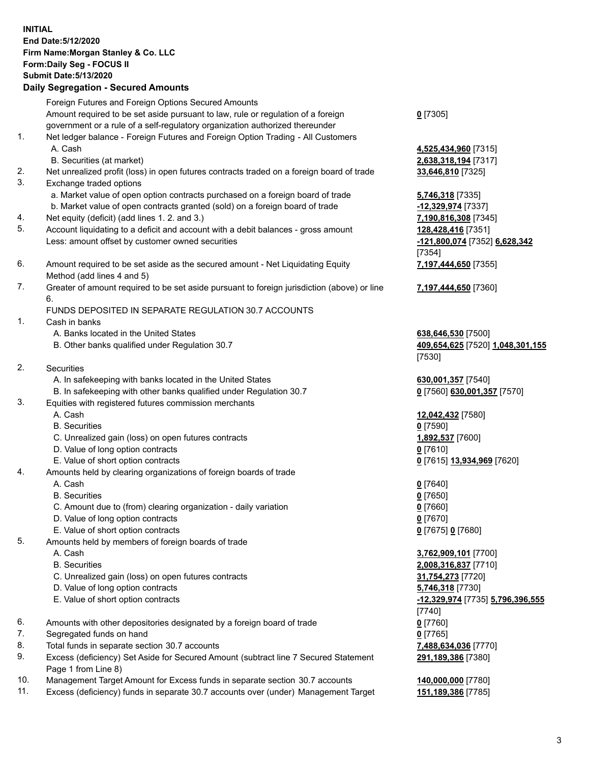## **INITIAL End Date:5/12/2020 Firm Name:Morgan Stanley & Co. LLC Form:Daily Seg - FOCUS II Submit Date:5/13/2020 Daily Segregation - Secured Amounts** Foreign Futures and Foreign Options Secured Amounts Amount required to be set aside pursuant to law, rule or regulation of a foreign government or a rule of a self-regulatory organization authorized thereunder 1. Net ledger balance - Foreign Futures and Foreign Option Trading - All Customers A. Cash **4,525,434,960** [7315] B. Securities (at market) **2,638,318,194** [7317] 2. Net unrealized profit (loss) in open futures contracts traded on a foreign board of trade **33,646,810** [7325] 3. Exchange traded options a. Market value of open option contracts purchased on a foreign board of trade **5,746,318** [7335] b. Market value of open contracts granted (sold) on a foreign board of trade **-12,329,974** [7337] 4. Net equity (deficit) (add lines 1. 2. and 3.) **7,190,816,308** [7345] 5. Account liquidating to a deficit and account with a debit balances - gross amount **128,428,416** [7351] Less: amount offset by customer owned securities **-121,800,074** [7352] **6,628,342** 6. Amount required to be set aside as the secured amount - Net Liquidating Equity Method (add lines 4 and 5) 7. Greater of amount required to be set aside pursuant to foreign jurisdiction (above) or line 6. FUNDS DEPOSITED IN SEPARATE REGULATION 30.7 ACCOUNTS 1. Cash in banks A. Banks located in the United States **638,646,530** [7500] B. Other banks qualified under Regulation 30.7 **409,654,625** [7520] **1,048,301,155** 2. Securities A. In safekeeping with banks located in the United States **630,001,357** [7540] B. In safekeeping with other banks qualified under Regulation 30.7 **0** [7560] **630,001,357** [7570] 3. Equities with registered futures commission merchants A. Cash **12,042,432** [7580] B. Securities **0** [7590] C. Unrealized gain (loss) on open futures contracts **1,892,537** [7600]

- D. Value of long option contracts **0** [7610]
- E. Value of short option contracts **0** [7615] **13,934,969** [7620]
- 4. Amounts held by clearing organizations of foreign boards of trade
	- A. Cash **0** [7640]
	- B. Securities **0** [7650]
	- C. Amount due to (from) clearing organization daily variation **0** [7660]
	- D. Value of long option contracts **0** [7670]
	- E. Value of short option contracts **0** [7675] **0** [7680]
- 5. Amounts held by members of foreign boards of trade
	-
	-
	- C. Unrealized gain (loss) on open futures contracts **31,754,273** [7720]
	- D. Value of long option contracts **5,746,318** [7730]
	-
- 6. Amounts with other depositories designated by a foreign board of trade **0** [7760]
- 7. Segregated funds on hand **0** [7765]
- 8. Total funds in separate section 30.7 accounts **7,488,634,036** [7770]
- 9. Excess (deficiency) Set Aside for Secured Amount (subtract line 7 Secured Statement Page 1 from Line 8)
- 10. Management Target Amount for Excess funds in separate section 30.7 accounts **140,000,000** [7780]
- 11. Excess (deficiency) funds in separate 30.7 accounts over (under) Management Target **151,189,386** [7785]

**0** [7305]

[7354] **7,197,444,650** [7355]

**7,197,444,650** [7360]

[7530]

 A. Cash **3,762,909,101** [7700] B. Securities **2,008,316,837** [7710] E. Value of short option contracts **-12,329,974** [7735] **5,796,396,555** [7740] **291,189,386** [7380]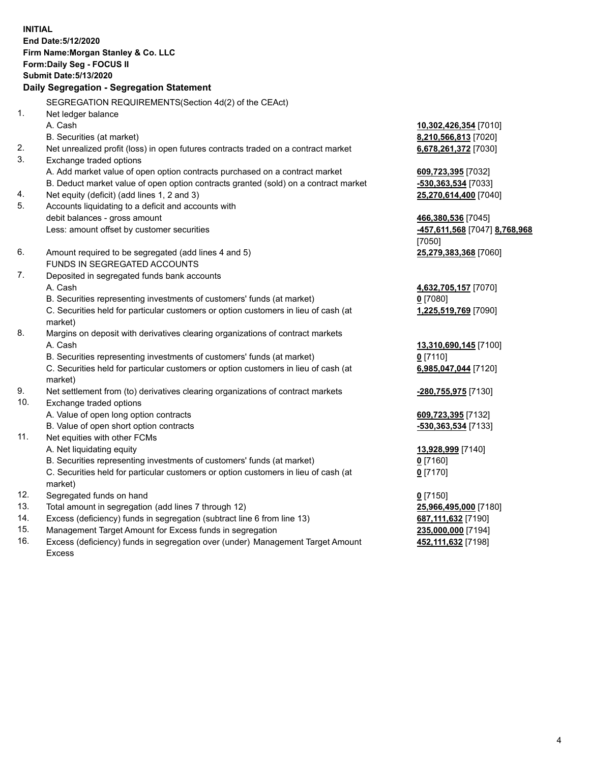**INITIAL End Date:5/12/2020 Firm Name:Morgan Stanley & Co. LLC Form:Daily Seg - FOCUS II Submit Date:5/13/2020 Daily Segregation - Segregation Statement** SEGREGATION REQUIREMENTS(Section 4d(2) of the CEAct) 1. Net ledger balance A. Cash **10,302,426,354** [7010] B. Securities (at market) **8,210,566,813** [7020] 2. Net unrealized profit (loss) in open futures contracts traded on a contract market **6,678,261,372** [7030] 3. Exchange traded options A. Add market value of open option contracts purchased on a contract market **609,723,395** [7032] B. Deduct market value of open option contracts granted (sold) on a contract market **-530,363,534** [7033] 4. Net equity (deficit) (add lines 1, 2 and 3) **25,270,614,400** [7040] 5. Accounts liquidating to a deficit and accounts with debit balances - gross amount **466,380,536** [7045] Less: amount offset by customer securities **-457,611,568** [7047] **8,768,968** [7050] 6. Amount required to be segregated (add lines 4 and 5) **25,279,383,368** [7060] FUNDS IN SEGREGATED ACCOUNTS 7. Deposited in segregated funds bank accounts A. Cash **4,632,705,157** [7070] B. Securities representing investments of customers' funds (at market) **0** [7080] C. Securities held for particular customers or option customers in lieu of cash (at market) **1,225,519,769** [7090] 8. Margins on deposit with derivatives clearing organizations of contract markets A. Cash **13,310,690,145** [7100] B. Securities representing investments of customers' funds (at market) **0** [7110] C. Securities held for particular customers or option customers in lieu of cash (at market) **6,985,047,044** [7120] 9. Net settlement from (to) derivatives clearing organizations of contract markets **-280,755,975** [7130] 10. Exchange traded options A. Value of open long option contracts **609,723,395** [7132] B. Value of open short option contracts **and the set of our original state of the set of our original state of the set of our original state of the set of the set of the set of the set of the set of the set of the set of t** 11. Net equities with other FCMs A. Net liquidating equity **13,928,999** [7140] B. Securities representing investments of customers' funds (at market) **0** [7160] C. Securities held for particular customers or option customers in lieu of cash (at market) **0** [7170] 12. Segregated funds on hand **0** [7150] 13. Total amount in segregation (add lines 7 through 12) **25,966,495,000** [7180] 14. Excess (deficiency) funds in segregation (subtract line 6 from line 13) **687,111,632** [7190] 15. Management Target Amount for Excess funds in segregation **235,000,000** [7194]

16. Excess (deficiency) funds in segregation over (under) Management Target Amount Excess

**452,111,632** [7198]